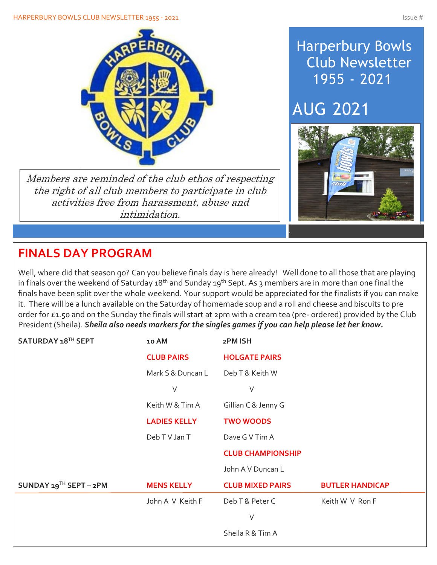

Members are reminded of the club ethos of respecting the right of all club members to participate in club activities free from harassment, abuse and intimidation.

#### **FINALS DAY PROGRAM**

Well, where did that season go? Can you believe finals day is here already! Well done to all those that are playing in finals over the weekend of Saturday 18<sup>th</sup> and Sunday 19<sup>th</sup> Sept. As 3 members are in more than one final the finals have been split over the whole weekend. Your support would be appreciated for the finalists if you can make it. There will be a lunch available on the Saturday of homemade soup and a roll and cheese and biscuits to pre order for £1.50 and on the Sunday the finals will start at 2pm with a cream tea (pre- ordered) provided by the Club President (Sheila). *Sheila also needs markers for the singles games if you can help please let her know.*

| SATURDAY 18TH SEPT          | 10 AM               | 2PM ISH                  |                        |
|-----------------------------|---------------------|--------------------------|------------------------|
|                             | <b>CLUB PAIRS</b>   | <b>HOLGATE PAIRS</b>     |                        |
|                             | Mark S & Duncan L   | Deb T & Keith W          |                        |
|                             | V                   | ٧                        |                        |
|                             | Keith W & Tim A     | Gillian C & Jenny G      |                        |
|                             | <b>LADIES KELLY</b> | <b>TWO WOODS</b>         |                        |
|                             | Deb T V Jan T       | Dave G V Tim A           |                        |
|                             |                     | <b>CLUB CHAMPIONSHIP</b> |                        |
|                             |                     | John A V Duncan L        |                        |
| SUNDAY $19^{TH}$ SEPT - 2PM | <b>MENS KELLY</b>   | <b>CLUB MIXED PAIRS</b>  | <b>BUTLER HANDICAP</b> |
|                             | John A V Keith F    | Deb T & Peter C          | Keith W V Ron F        |
|                             |                     | ٧                        |                        |
|                             |                     | Sheila R & Tim A         |                        |

#### Harperbury Bowls Club Newsletter 1955 - 2021

# AUG 2021

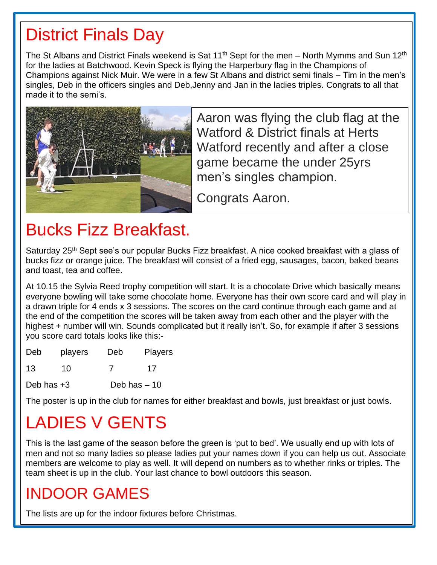# District Finals Day

Í

 $\overline{\phantom{a}}$ 

I

I

I

I

I

I

I

I

The St Albans and District Finals weekend is Sat 11<sup>th</sup> Sept for the men – North Mymms and Sun 12<sup>th</sup> for the ladies at Batchwood. Kevin Speck is flying the Harperbury flag in the Champions of Champions against Nick Muir. We were in a few St Albans and district semi finals – Tim in the men's singles, Deb in the officers singles and Deb,Jenny and Jan in the ladies triples. Congrats to all that made it to the semi's.



Aaron was flying the club flag at the Watford & District finals at Herts Watford recently and after a close game became the under 25yrs men's singles champion.

Congrats Aaron.

## Bucks Fizz Breakfast.

Saturday 25<sup>th</sup> Sept see's our popular Bucks Fizz breakfast. A nice cooked breakfast with a glass of bucks fizz or orange juice. The breakfast will consist of a fried egg, sausages, bacon, baked beans and toast, tea and coffee.

At 10.15 the Sylvia Reed trophy competition will start. It is a chocolate Drive which basically means everyone bowling will take some chocolate home. Everyone has their own score card and will play in a drawn triple for 4 ends x 3 sessions. The scores on the card continue through each game and at the end of the competition the scores will be taken away from each other and the player with the highest + number will win. Sounds complicated but it really isn't. So, for example if after 3 sessions you score card totals looks like this:-

| Deb | players | Deb | Players |
|-----|---------|-----|---------|
|     |         |     |         |

13 10 7 17

Deb has +3 Deb has – 10

The poster is up in the club for names for either breakfast and bowls, just breakfast or just bowls.

# LADIES V GENTS

This is the last game of the season before the green is 'put to bed'. We usually end up with lots of men and not so many ladies so please ladies put your names down if you can help us out. Associate members are welcome to play as well. It will depend on numbers as to whether rinks or triples. The team sheet is up in the club. Your last chance to bowl outdoors this season.

## INDOOR GAMES

The lists are up for the indoor fixtures before Christmas.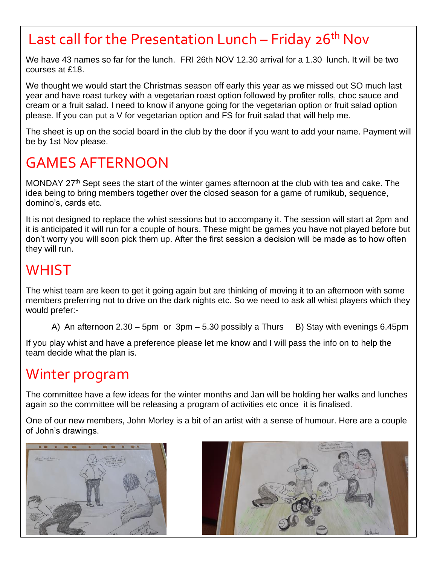#### Last call for the Presentation Lunch - Friday 26<sup>th</sup> Nov

We have 43 names so far for the lunch. FRI 26th NOV 12.30 arrival for a 1.30 lunch. It will be two courses at £18.

We thought we would start the Christmas season off early this year as we missed out SO much last year and have roast turkey with a vegetarian roast option followed by profiter rolls, choc sauce and cream or a fruit salad. I need to know if anyone going for the vegetarian option or fruit salad option please. If you can put a V for vegetarian option and FS for fruit salad that will help me.

The sheet is up on the social board in the club by the door if you want to add your name. Payment will be by 1st Nov please.

## GAMES AFTERNOON

MONDAY 27<sup>th</sup> Sept sees the start of the winter games afternoon at the club with tea and cake. The idea being to bring members together over the closed season for a game of rumikub, sequence, domino's, cards etc.

It is not designed to replace the whist sessions but to accompany it. The session will start at 2pm and it is anticipated it will run for a couple of hours. These might be games you have not played before but don't worry you will soon pick them up. After the first session a decision will be made as to how often they will run.

#### **WHIST**

The whist team are keen to get it going again but are thinking of moving it to an afternoon with some members preferring not to drive on the dark nights etc. So we need to ask all whist players which they would prefer:-

A) An afternoon  $2.30 - 5$ pm or  $3$ pm  $- 5.30$  possibly a Thurs B) Stay with evenings 6.45pm

If you play whist and have a preference please let me know and I will pass the info on to help the team decide what the plan is.

#### Winter program

The committee have a few ideas for the winter months and Jan will be holding her walks and lunches again so the committee will be releasing a program of activities etc once it is finalised.

One of our new members, John Morley is a bit of an artist with a sense of humour. Here are a couple of John's drawings.



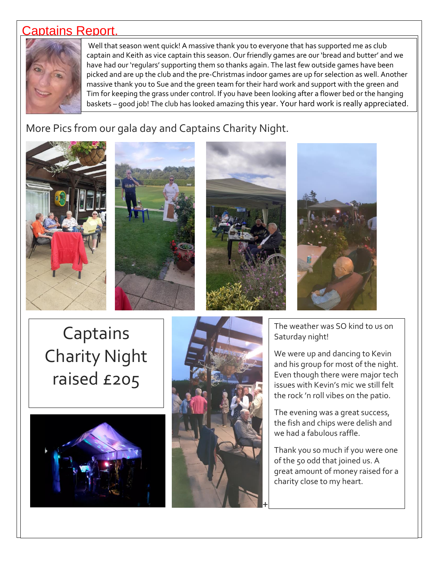#### <u>Captains Report.</u>



Well that season went quick! A massive thank you to everyone that has supported me as club captain and Keith as vice captain this season. Our friendly games are our 'bread and butter' and we have had our 'regulars' supporting them so thanks again. The last few outside games have been picked and are up the club and the pre-Christmas indoor games are up for selection as well. Another massive thank you to Sue and the green team for their hard work and support with the green and Tim for keeping the grass under control. If you have been looking after a flower bed or the hanging baskets – good job! The club has looked amazing this year. Your hard work is really appreciated.

#### More Pics from our gala day and Captains Charity Night.









Captains Charity Night raised £205





The weather was SO kind to us on Saturday night!

We were up and dancing to Kevin and his group for most of the night. Even though there were major tech issues with Kevin's mic we still felt the rock 'n roll vibes on the patio.

The evening was a great success, the fish and chips were delish and we had a fabulous raffle.

Thank you so much if you were one of the 50 odd that joined us. A great amount of money raised for a charity close to my heart.